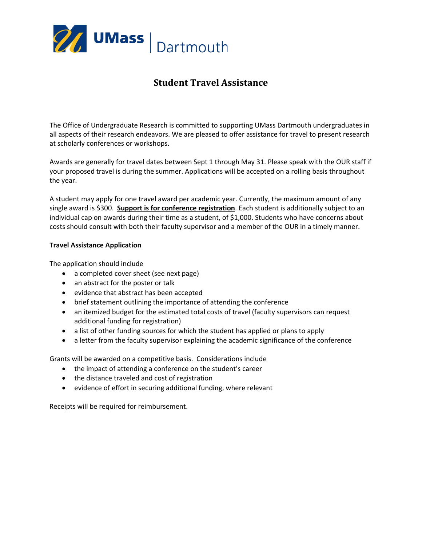

## **Student Travel Assistance**

The Office of Undergraduate Research is committed to supporting UMass Dartmouth undergraduates in all aspects of their research endeavors. We are pleased to offer assistance for travel to present research at scholarly conferences or workshops.

Awards are generally for travel dates between Sept 1 through May 31. Please speak with the OUR staff if your proposed travel is during the summer. Applications will be accepted on a rolling basis throughout the year.

A student may apply for one travel award per academic year. Currently, the maximum amount of any single award is \$300. **Support is for conference registration**. Each student is additionally subject to an individual cap on awards during their time as a student, of \$1,000. Students who have concerns about costs should consult with both their faculty supervisor and a member of the OUR in a timely manner.

## **Travel Assistance Application**

The application should include

- a completed cover sheet (see next page)
- an abstract for the poster or talk
- evidence that abstract has been accepted
- brief statement outlining the importance of attending the conference
- an itemized budget for the estimated total costs of travel (faculty supervisors can request additional funding for registration)
- a list of other funding sources for which the student has applied or plans to apply
- a letter from the faculty supervisor explaining the academic significance of the conference

Grants will be awarded on a competitive basis. Considerations include

- the impact of attending a conference on the student's career
- the distance traveled and cost of registration
- evidence of effort in securing additional funding, where relevant

Receipts will be required for reimbursement.